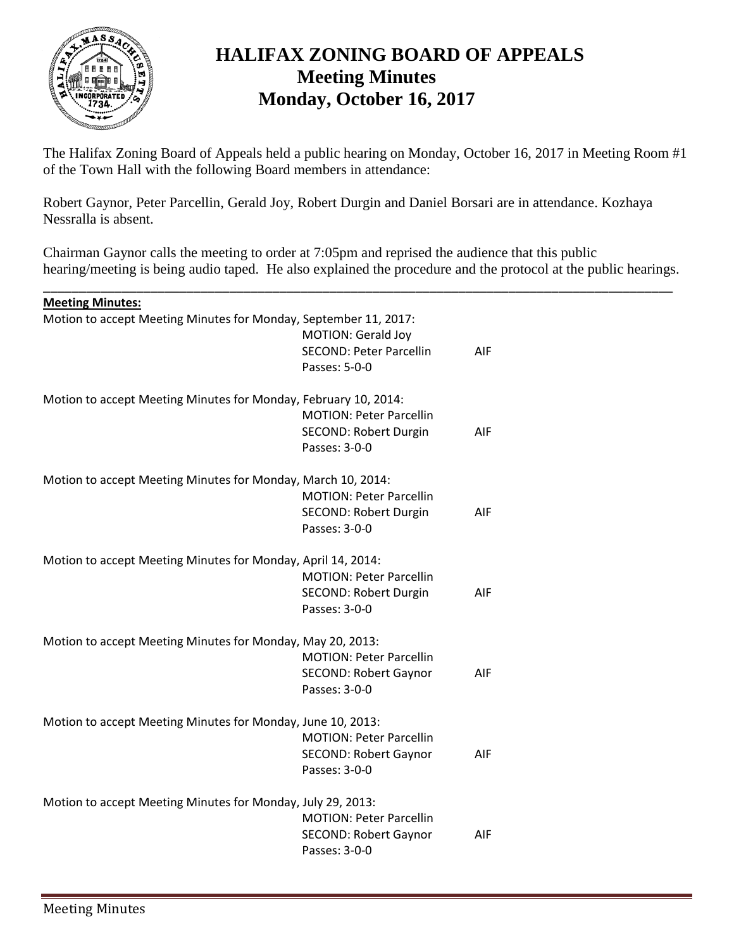

# **HALIFAX ZONING BOARD OF APPEALS Meeting Minutes Monday, October 16, 2017**

The Halifax Zoning Board of Appeals held a public hearing on Monday, October 16, 2017 in Meeting Room #1 of the Town Hall with the following Board members in attendance:

Robert Gaynor, Peter Parcellin, Gerald Joy, Robert Durgin and Daniel Borsari are in attendance. Kozhaya Nessralla is absent.

Chairman Gaynor calls the meeting to order at 7:05pm and reprised the audience that this public hearing/meeting is being audio taped. He also explained the procedure and the protocol at the public hearings.

\_\_\_\_\_\_\_\_\_\_\_\_\_\_\_\_\_\_\_\_\_\_\_\_\_\_\_\_\_\_\_\_\_\_\_\_\_\_\_\_\_\_\_\_\_\_\_\_\_\_\_\_\_\_\_\_\_\_\_\_\_\_\_\_\_\_\_\_\_\_\_\_\_\_\_\_\_\_\_\_\_\_\_\_\_\_\_\_

| <b>Meeting Minutes:</b>                                          |                                                                                 |     |
|------------------------------------------------------------------|---------------------------------------------------------------------------------|-----|
| Motion to accept Meeting Minutes for Monday, September 11, 2017: | MOTION: Gerald Joy<br><b>SECOND: Peter Parcellin</b><br>Passes: 5-0-0           | AIF |
| Motion to accept Meeting Minutes for Monday, February 10, 2014:  | <b>MOTION: Peter Parcellin</b><br><b>SECOND: Robert Durgin</b><br>Passes: 3-0-0 | AIF |
| Motion to accept Meeting Minutes for Monday, March 10, 2014:     | <b>MOTION: Peter Parcellin</b><br><b>SECOND: Robert Durgin</b><br>Passes: 3-0-0 | AIF |
| Motion to accept Meeting Minutes for Monday, April 14, 2014:     | <b>MOTION: Peter Parcellin</b><br>SECOND: Robert Durgin<br>Passes: 3-0-0        | AIF |
| Motion to accept Meeting Minutes for Monday, May 20, 2013:       | <b>MOTION: Peter Parcellin</b><br><b>SECOND: Robert Gaynor</b><br>Passes: 3-0-0 | AIF |
| Motion to accept Meeting Minutes for Monday, June 10, 2013:      | <b>MOTION: Peter Parcellin</b><br><b>SECOND: Robert Gaynor</b><br>Passes: 3-0-0 | AIF |
| Motion to accept Meeting Minutes for Monday, July 29, 2013:      | <b>MOTION: Peter Parcellin</b><br><b>SECOND: Robert Gaynor</b><br>Passes: 3-0-0 | AIF |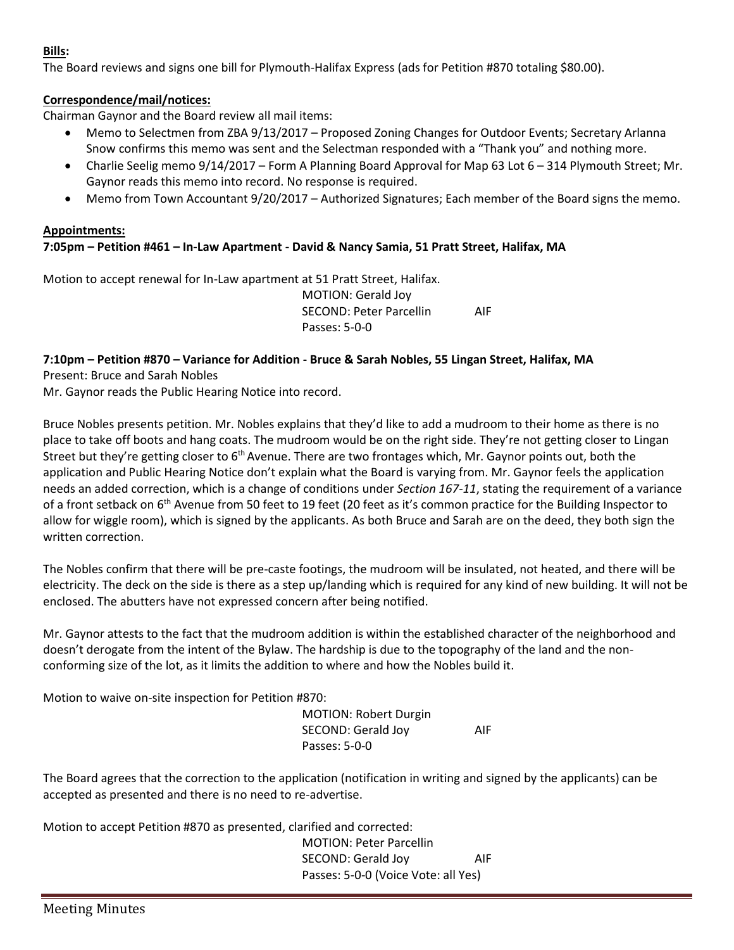# **Bills:**

The Board reviews and signs one bill for Plymouth-Halifax Express (ads for Petition #870 totaling \$80.00).

# **Correspondence/mail/notices:**

Chairman Gaynor and the Board review all mail items:

- Memo to Selectmen from ZBA 9/13/2017 Proposed Zoning Changes for Outdoor Events; Secretary Arlanna Snow confirms this memo was sent and the Selectman responded with a "Thank you" and nothing more.
- Charlie Seelig memo 9/14/2017 Form A Planning Board Approval for Map 63 Lot 6 314 Plymouth Street; Mr. Gaynor reads this memo into record. No response is required.
- Memo from Town Accountant 9/20/2017 Authorized Signatures; Each member of the Board signs the memo.

#### **Appointments: 7:05pm – Petition #461 – In-Law Apartment - David & Nancy Samia, 51 Pratt Street, Halifax, MA**

Motion to accept renewal for In-Law apartment at 51 Pratt Street, Halifax.

MOTION: Gerald Joy SECOND: Peter Parcellin AIF Passes: 5-0-0

# **7:10pm – Petition #870 – Variance for Addition - Bruce & Sarah Nobles, 55 Lingan Street, Halifax, MA**

Present: Bruce and Sarah Nobles

Mr. Gaynor reads the Public Hearing Notice into record.

Bruce Nobles presents petition. Mr. Nobles explains that they'd like to add a mudroom to their home as there is no place to take off boots and hang coats. The mudroom would be on the right side. They're not getting closer to Lingan Street but they're getting closer to  $6<sup>th</sup>$  Avenue. There are two frontages which, Mr. Gaynor points out, both the application and Public Hearing Notice don't explain what the Board is varying from. Mr. Gaynor feels the application needs an added correction, which is a change of conditions under *Section 167-11*, stating the requirement of a variance of a front setback on 6th Avenue from 50 feet to 19 feet (20 feet as it's common practice for the Building Inspector to allow for wiggle room), which is signed by the applicants. As both Bruce and Sarah are on the deed, they both sign the written correction.

The Nobles confirm that there will be pre-caste footings, the mudroom will be insulated, not heated, and there will be electricity. The deck on the side is there as a step up/landing which is required for any kind of new building. It will not be enclosed. The abutters have not expressed concern after being notified.

Mr. Gaynor attests to the fact that the mudroom addition is within the established character of the neighborhood and doesn't derogate from the intent of the Bylaw. The hardship is due to the topography of the land and the nonconforming size of the lot, as it limits the addition to where and how the Nobles build it.

Motion to waive on-site inspection for Petition #870:

MOTION: Robert Durgin SECOND: Gerald Joy AIF Passes: 5-0-0

The Board agrees that the correction to the application (notification in writing and signed by the applicants) can be accepted as presented and there is no need to re-advertise.

Motion to accept Petition #870 as presented, clarified and corrected:

MOTION: Peter Parcellin SECOND: Gerald Joy AIF Passes: 5-0-0 (Voice Vote: all Yes)